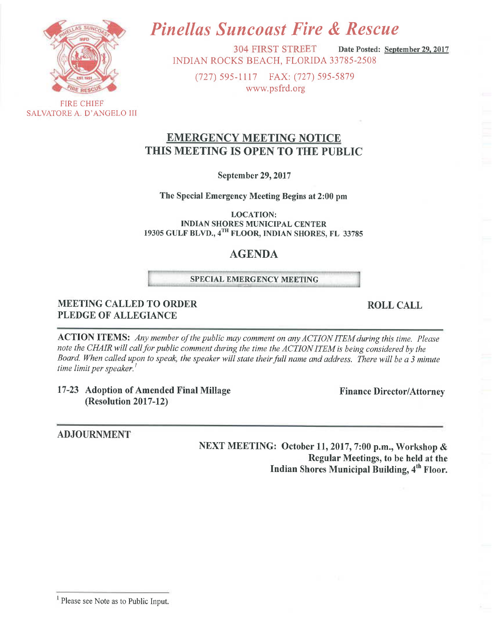

SALVATORE A. D'ANGELO III

# **Pinellas Suncoast Fire & Rescue**

**304 FIRST STREET** Date Posted: September 29, 2017 INDIAN ROCKS BEACH, FLORIDA 33785-2508

(727) 595-1117 FAX: (727) 595-5879 www.psfrd.org

# **EMERGENCY MEETING NOTICE** THIS MEETING IS OPEN TO THE PUBLIC

September 29, 2017

The Special Emergency Meeting Begins at 2:00 pm

**LOCATION: INDIAN SHORES MUNICIPAL CENTER** 19305 GULF BLVD., 4TH FLOOR, INDIAN SHORES, FL 33785

# **AGENDA**

#### **SPECIAL EMERGENCY MEETING**

#### **MEETING CALLED TO ORDER PLEDGE OF ALLEGIANCE**

**ACTION ITEMS:** Any member of the public may comment on any ACTION ITEM during this time. Please note the CHAIR will call for public comment during the time the ACTION ITEM is being considered by the Board. When called upon to speak, the speaker will state their full name and address. There will be a 3 minute time limit per speaker.<sup>1</sup>

17-23 Adoption of Amended Final Millage (Resolution 2017-12)

**ADJOURNMENT** 

NEXT MEETING: October 11, 2017, 7:00 p.m., Workshop & Regular Meetings, to be held at the Indian Shores Municipal Building, 4<sup>th</sup> Floor.

#### **ROLL CALL**

**Finance Director/Attorney** 

<sup>1</sup> Please see Note as to Public Input.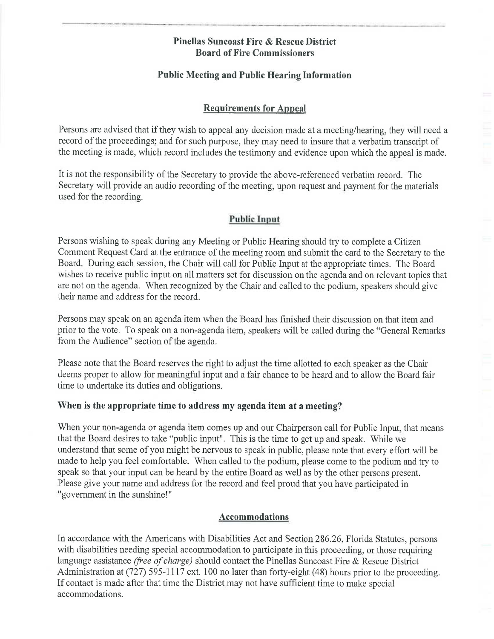### **Pinellas Suncoast Fire & Rescue District Board of Fire Commissioners**

## **Public Meeting and Public Hearing Information**

## **Requirements for Appeal**

Persons are advised that if they wish to appeal any decision made at a meeting/hearing, they will need a record of the proceedings; and for such purpose, they may need to insure that a verbatim transcript of the meeting is made, which record includes the testimony and evidence upon which the appeal is made.

It is not the responsibility of the Secretary to provide the above-referenced verbatim record. The Secretary will provide an audio recording of the meeting, upon request and payment for the materials used for the recording.

## **Public Input**

Persons wishing to speak during any Meeting or Public Hearing should try to complete a Citizen Comment Request Card at the entrance of the meeting room and submit the card to the Secretary to the Board. During each session, the Chair will call for Public Input at the appropriate times. The Board wishes to receive public input on all matters set for discussion on the agenda and on relevant topics that are not on the agenda. When recognized by the Chair and called to the podium, speakers should give their name and address for the record.

Persons may speak on an agenda item when the Board has finished their discussion on that item and prior to the vote. To speak on a non-agenda item, speakers will be called during the "General Remarks" from the Audience" section of the agenda.

Please note that the Board reserves the right to adjust the time allotted to each speaker as the Chair deems proper to allow for meaningful input and a fair chance to be heard and to allow the Board fair time to undertake its duties and obligations.

## When is the appropriate time to address my agenda item at a meeting?

When your non-agenda or agenda item comes up and our Chairperson call for Public Input, that means that the Board desires to take "public input". This is the time to get up and speak. While we understand that some of you might be nervous to speak in public, please note that every effort will be made to help you feel comfortable. When called to the podium, please come to the podium and try to speak so that your input can be heard by the entire Board as well as by the other persons present. Please give your name and address for the record and feel proud that you have participated in "government in the sunshine!"

## **Accommodations**

In accordance with the Americans with Disabilities Act and Section 286.26, Florida Statutes, persons with disabilities needing special accommodation to participate in this proceeding, or those requiring language assistance (free of charge) should contact the Pinellas Suncoast Fire & Rescue District Administration at (727) 595-1117 ext. 100 no later than forty-eight (48) hours prior to the proceeding. If contact is made after that time the District may not have sufficient time to make special accommodations.